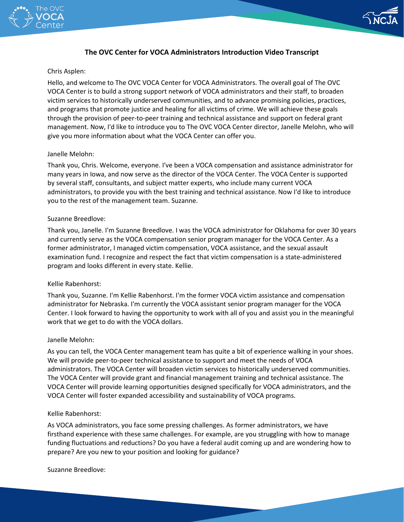



# **The OVC Center for VOCA Administrators Introduction Video Transcript**

### Chris Asplen:

 and programs that promote justice and healing for all victims of crime. We will achieve these goals give you more information about what the VOCA Center can offer you. Hello, and welcome to The OVC VOCA Center for VOCA Administrators. The overall goal of The OVC VOCA Center is to build a strong support network of VOCA administrators and their staff, to broaden victim services to historically underserved communities, and to advance promising policies, practices, through the provision of peer-to-peer training and technical assistance and support on federal grant management. Now, I'd like to introduce you to The OVC VOCA Center director, Janelle Melohn, who will

# Janelle Melohn:

 administrators, to provide you with the best training and technical assistance. Now I'd like to introduce Thank you, Chris. Welcome, everyone. I've been a VOCA compensation and assistance administrator for many years in Iowa, and now serve as the director of the VOCA Center. The VOCA Center is supported by several staff, consultants, and subject matter experts, who include many current VOCA you to the rest of the management team. Suzanne.

# Suzanne Breedlove:

 Thank you, Janelle. I'm Suzanne Breedlove. I was the VOCA administrator for Oklahoma for over 30 years and currently serve as the VOCA compensation senior program manager for the VOCA Center. As a former administrator, I managed victim compensation, VOCA assistance, and the sexual assault examination fund. I recognize and respect the fact that victim compensation is a state-administered program and looks different in every state. Kellie.

# Kellie Rabenhorst:

 Center. I look forward to having the opportunity to work with all of you and assist you in the meaningful work that we get to do with the VOCA dollars. Thank you, Suzanne. I'm Kellie Rabenhorst. I'm the former VOCA victim assistance and compensation administrator for Nebraska. I'm currently the VOCA assistant senior program manager for the VOCA

### Janelle Melohn:

 As you can tell, the VOCA Center management team has quite a bit of experience walking in your shoes. administrators. The VOCA Center will broaden victim services to historically underserved communities. We will provide peer-to-peer technical assistance to support and meet the needs of VOCA The VOCA Center will provide grant and financial management training and technical assistance. The VOCA Center will provide learning opportunities designed specifically for VOCA administrators, and the VOCA Center will foster expanded accessibility and sustainability of VOCA programs.

### Kellie Rabenhorst:

 firsthand experience with these same challenges. For example, are you struggling with how to manage prepare? Are you new to your position and looking for guidance? As VOCA administrators, you face some pressing challenges. As former administrators, we have funding fluctuations and reductions? Do you have a federal audit coming up and are wondering how to

Suzanne Breedlove: